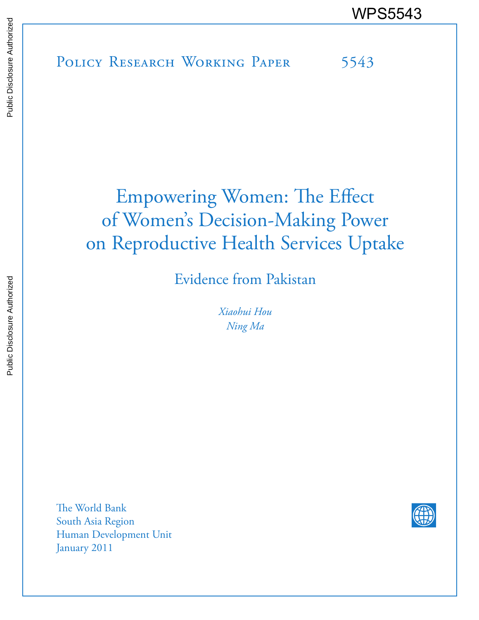# Empowering Women: The Effect of Women's Decision-Making Power on Reproductive Health Services Uptake

Evidence from Pakistan

*Xiaohui Hou Ning Ma*

The World Bank South Asia Region Human Development Unit January 2011

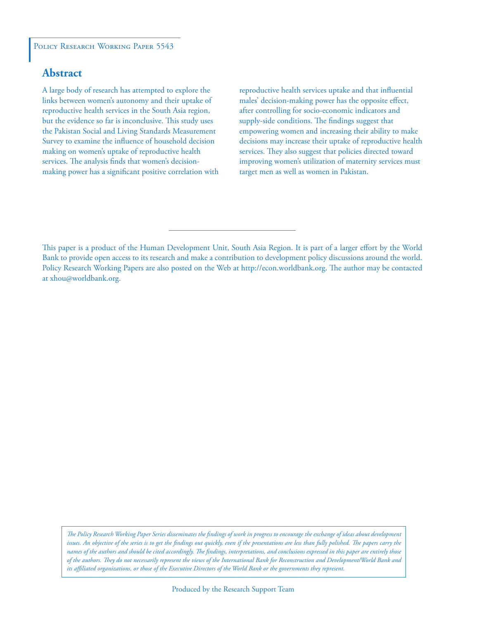#### POLICY RESEARCH WORKING PAPER 5543

# **Abstract**

A large body of research has attempted to explore the links between women's autonomy and their uptake of reproductive health services in the South Asia region, but the evidence so far is inconclusive. This study uses the Pakistan Social and Living Standards Measurement Survey to examine the influence of household decision making on women's uptake of reproductive health services. The analysis finds that women's decisionmaking power has a significant positive correlation with reproductive health services uptake and that influential males' decision-making power has the opposite effect, after controlling for socio-economic indicators and supply-side conditions. The findings suggest that empowering women and increasing their ability to make decisions may increase their uptake of reproductive health services. They also suggest that policies directed toward improving women's utilization of maternity services must target men as well as women in Pakistan.

This paper is a product of the Human Development Unit, South Asia Region. It is part of a larger effort by the World Bank to provide open access to its research and make a contribution to development policy discussions around the world. Policy Research Working Papers are also posted on the Web at http://econ.worldbank.org. The author may be contacted at xhou@worldbank.org.

*The Policy Research Working Paper Series disseminates the findings of work in progress to encourage the exchange of ideas about development*  issues. An objective of the series is to get the findings out quickly, even if the presentations are less than fully polished. The papers carry the *names of the authors and should be cited accordingly. The findings, interpretations, and conclusions expressed in this paper are entirely those of the authors. They do not necessarily represent the views of the International Bank for Reconstruction and Development/World Bank and its affiliated organizations, or those of the Executive Directors of the World Bank or the governments they represent.*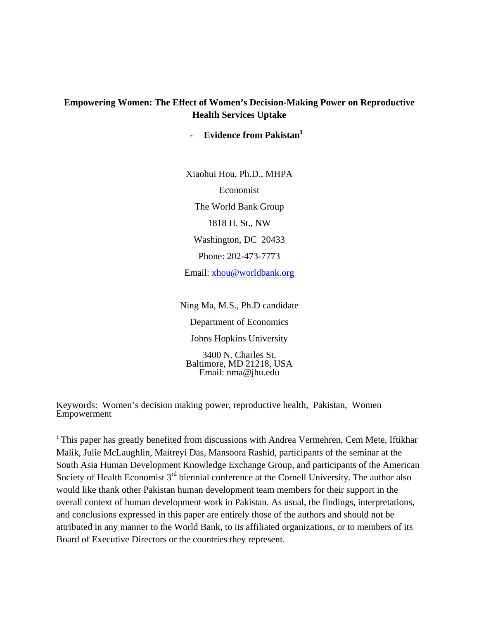## **Empowering Women: The Effect of Women's Decision-Making Power on Reproductive Health Services Uptake**

**Evidence from Pakistan** 

Xiaohui Hou, Ph.D., MHPA Economist The World Bank Group 1818 H. St., NW Washington, DC 20433 Phone: 202-473-7773 Email: xhou@worldbank.org

Ning Ma, M.S., Ph.D candidate Department of Economics Johns Hopkins University 3400 N. Charles St. Baltimore, MD 21218, USA Email: nma@jhu.edu

Keywords: Women's decision making power, reproductive health, Pakistan, Women Empowerment

<sup>&</sup>lt;sup>1</sup> This paper has greatly benefited from discussions with Andrea Vermehren, Cem Mete, Iftikhar Malik, Julie McLaughlin, Maitreyi Das, Mansoora Rashid, participants of the seminar at the South Asia Human Development Knowledge Exchange Group, and participants of the American Society of Health Economist 3<sup>rd</sup> biennial conference at the Cornell University. The author also would like thank other Pakistan human development team members for their support in the overall context of human development work in Pakistan. As usual, the findings, interpretations, and conclusions expressed in this paper are entirely those of the authors and should not be attributed in any manner to the World Bank, to its affiliated organizations, or to members of its Board of Executive Directors or the countries they represent.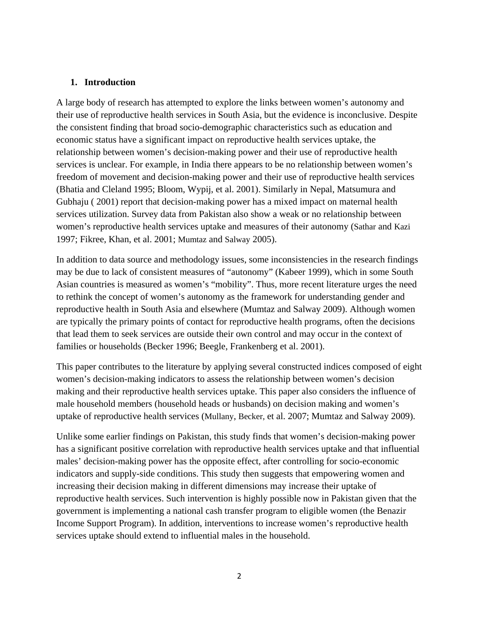### **1. Introduction**

A large body of research has attempted to explore the links between women's autonomy and their use of reproductive health services in South Asia, but the evidence is inconclusive. Despite the consistent finding that broad socio-demographic characteristics such as education and economic status have a significant impact on reproductive health services uptake, the relationship between women's decision-making power and their use of reproductive health services is unclear. For example, in India there appears to be no relationship between women's freedom of movement and decision-making power and their use of reproductive health services (Bhatia and Cleland 1995; Bloom, Wypij, et al. 2001). Similarly in Nepal, Matsumura and Gubhaju ( 2001) report that decision-making power has a mixed impact on maternal health services utilization. Survey data from Pakistan also show a weak or no relationship between women's reproductive health services uptake and measures of their autonomy (Sathar and Kazi 1997; Fikree, Khan, et al. 2001; Mumtaz and Salway 2005).

In addition to data source and methodology issues, some inconsistencies in the research findings may be due to lack of consistent measures of "autonomy" (Kabeer 1999), which in some South Asian countries is measured as women's "mobility". Thus, more recent literature urges the need to rethink the concept of women's autonomy as the framework for understanding gender and reproductive health in South Asia and elsewhere (Mumtaz and Salway 2009). Although women are typically the primary points of contact for reproductive health programs, often the decisions that lead them to seek services are outside their own control and may occur in the context of families or households (Becker 1996; Beegle, Frankenberg et al. 2001).

This paper contributes to the literature by applying several constructed indices composed of eight women's decision-making indicators to assess the relationship between women's decision making and their reproductive health services uptake. This paper also considers the influence of male household members (household heads or husbands) on decision making and women's uptake of reproductive health services (Mullany, Becker, et al. 2007; Mumtaz and Salway 2009).

Unlike some earlier findings on Pakistan, this study finds that women's decision-making power has a significant positive correlation with reproductive health services uptake and that influential males' decision-making power has the opposite effect, after controlling for socio-economic indicators and supply-side conditions. This study then suggests that empowering women and increasing their decision making in different dimensions may increase their uptake of reproductive health services. Such intervention is highly possible now in Pakistan given that the government is implementing a national cash transfer program to eligible women (the Benazir Income Support Program). In addition, interventions to increase women's reproductive health services uptake should extend to influential males in the household.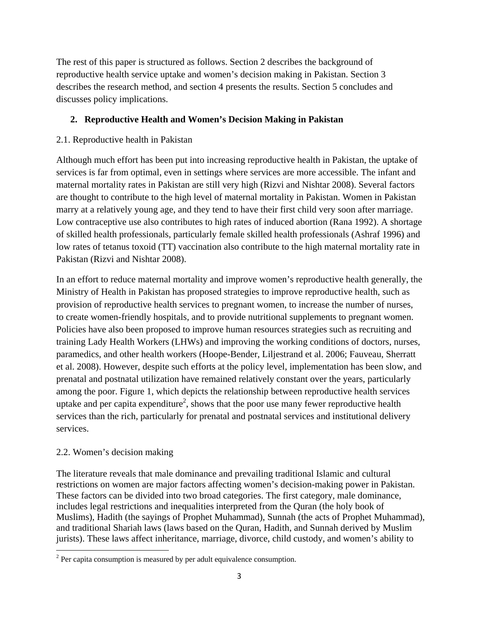The rest of this paper is structured as follows. Section 2 describes the background of reproductive health service uptake and women's decision making in Pakistan. Section 3 describes the research method, and section 4 presents the results. Section 5 concludes and discusses policy implications.

# **2. Reproductive Health and Women's Decision Making in Pakistan**

# 2.1. Reproductive health in Pakistan

Although much effort has been put into increasing reproductive health in Pakistan, the uptake of services is far from optimal, even in settings where services are more accessible. The infant and maternal mortality rates in Pakistan are still very high (Rizvi and Nishtar 2008). Several factors are thought to contribute to the high level of maternal mortality in Pakistan. Women in Pakistan marry at a relatively young age, and they tend to have their first child very soon after marriage. Low contraceptive use also contributes to high rates of induced abortion (Rana 1992). A shortage of skilled health professionals, particularly female skilled health professionals (Ashraf 1996) and low rates of tetanus toxoid (TT) vaccination also contribute to the high maternal mortality rate in Pakistan (Rizvi and Nishtar 2008).

In an effort to reduce maternal mortality and improve women's reproductive health generally, the Ministry of Health in Pakistan has proposed strategies to improve reproductive health, such as provision of reproductive health services to pregnant women, to increase the number of nurses, to create women-friendly hospitals, and to provide nutritional supplements to pregnant women. Policies have also been proposed to improve human resources strategies such as recruiting and training Lady Health Workers (LHWs) and improving the working conditions of doctors, nurses, paramedics, and other health workers (Hoope-Bender, Liljestrand et al. 2006; Fauveau, Sherratt et al. 2008). However, despite such efforts at the policy level, implementation has been slow, and prenatal and postnatal utilization have remained relatively constant over the years, particularly among the poor. Figure 1, which depicts the relationship between reproductive health services uptake and per capita expenditure<sup>2</sup>, shows that the poor use many fewer reproductive health services than the rich, particularly for prenatal and postnatal services and institutional delivery services.

# 2.2. Women's decision making

The literature reveals that male dominance and prevailing traditional Islamic and cultural restrictions on women are major factors affecting women's decision-making power in Pakistan. These factors can be divided into two broad categories. The first category, male dominance, includes legal restrictions and inequalities interpreted from the Quran (the holy book of Muslims), Hadith (the sayings of Prophet Muhammad), Sunnah (the acts of Prophet Muhammad), and traditional Shariah laws (laws based on the Quran, Hadith, and Sunnah derived by Muslim jurists). These laws affect inheritance, marriage, divorce, child custody, and women's ability to

<sup>&</sup>lt;sup>2</sup> Per capita consumption is measured by per adult equivalence consumption.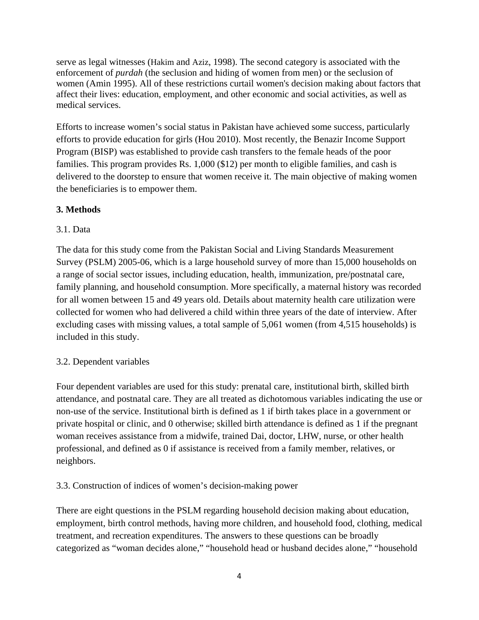serve as legal witnesses (Hakim and Aziz, 1998). The second category is associated with the enforcement of *purdah* (the seclusion and hiding of women from men) or the seclusion of women (Amin 1995). All of these restrictions curtail women's decision making about factors that affect their lives: education, employment, and other economic and social activities, as well as medical services.

Efforts to increase women's social status in Pakistan have achieved some success, particularly efforts to provide education for girls (Hou 2010). Most recently, the Benazir Income Support Program (BISP) was established to provide cash transfers to the female heads of the poor families. This program provides Rs. 1,000 (\$12) per month to eligible families, and cash is delivered to the doorstep to ensure that women receive it. The main objective of making women the beneficiaries is to empower them.

## **3. Methods**

## 3.1. Data

The data for this study come from the Pakistan Social and Living Standards Measurement Survey (PSLM) 2005-06, which is a large household survey of more than 15,000 households on a range of social sector issues, including education, health, immunization, pre/postnatal care, family planning, and household consumption. More specifically, a maternal history was recorded for all women between 15 and 49 years old. Details about maternity health care utilization were collected for women who had delivered a child within three years of the date of interview. After excluding cases with missing values, a total sample of 5,061 women (from 4,515 households) is included in this study.

# 3.2. Dependent variables

Four dependent variables are used for this study: prenatal care, institutional birth, skilled birth attendance, and postnatal care. They are all treated as dichotomous variables indicating the use or non-use of the service. Institutional birth is defined as 1 if birth takes place in a government or private hospital or clinic, and 0 otherwise; skilled birth attendance is defined as 1 if the pregnant woman receives assistance from a midwife, trained Dai, doctor, LHW, nurse, or other health professional, and defined as 0 if assistance is received from a family member, relatives, or neighbors.

## 3.3. Construction of indices of women's decision-making power

There are eight questions in the PSLM regarding household decision making about education, employment, birth control methods, having more children, and household food, clothing, medical treatment, and recreation expenditures. The answers to these questions can be broadly categorized as "woman decides alone," "household head or husband decides alone," "household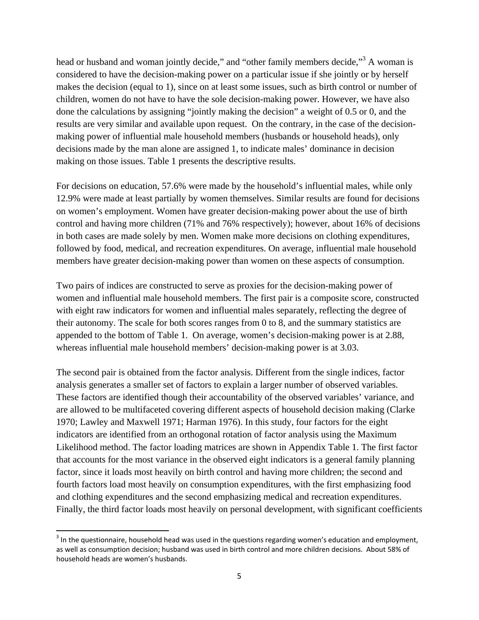head or husband and woman jointly decide," and "other family members decide,"<sup>3</sup> A woman is considered to have the decision-making power on a particular issue if she jointly or by herself makes the decision (equal to 1), since on at least some issues, such as birth control or number of children, women do not have to have the sole decision-making power. However, we have also done the calculations by assigning "jointly making the decision" a weight of 0.5 or 0, and the results are very similar and available upon request. On the contrary, in the case of the decisionmaking power of influential male household members (husbands or household heads), only decisions made by the man alone are assigned 1, to indicate males' dominance in decision making on those issues. Table 1 presents the descriptive results.

For decisions on education, 57.6% were made by the household's influential males, while only 12.9% were made at least partially by women themselves. Similar results are found for decisions on women's employment. Women have greater decision-making power about the use of birth control and having more children (71% and 76% respectively); however, about 16% of decisions in both cases are made solely by men. Women make more decisions on clothing expenditures, followed by food, medical, and recreation expenditures. On average, influential male household members have greater decision-making power than women on these aspects of consumption.

Two pairs of indices are constructed to serve as proxies for the decision-making power of women and influential male household members. The first pair is a composite score, constructed with eight raw indicators for women and influential males separately, reflecting the degree of their autonomy. The scale for both scores ranges from 0 to 8, and the summary statistics are appended to the bottom of Table 1. On average, women's decision-making power is at 2.88, whereas influential male household members' decision-making power is at 3.03.

The second pair is obtained from the factor analysis. Different from the single indices, factor analysis generates a smaller set of factors to explain a larger number of observed variables. These factors are identified though their accountability of the observed variables' variance, and are allowed to be multifaceted covering different aspects of household decision making (Clarke 1970; Lawley and Maxwell 1971; Harman 1976). In this study, four factors for the eight indicators are identified from an orthogonal rotation of factor analysis using the Maximum Likelihood method. The factor loading matrices are shown in Appendix Table 1. The first factor that accounts for the most variance in the observed eight indicators is a general family planning factor, since it loads most heavily on birth control and having more children; the second and fourth factors load most heavily on consumption expenditures, with the first emphasizing food and clothing expenditures and the second emphasizing medical and recreation expenditures. Finally, the third factor loads most heavily on personal development, with significant coefficients

<sup>&</sup>lt;sup>3</sup> In the questionnaire, household head was used in the questions regarding women's education and employment, as well as consumption decision; husband was used in birth control and more children decisions. About 58% of household heads are women's husbands.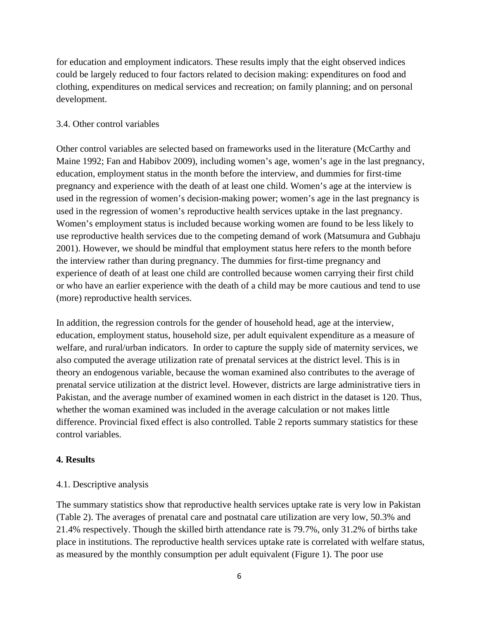for education and employment indicators. These results imply that the eight observed indices could be largely reduced to four factors related to decision making: expenditures on food and clothing, expenditures on medical services and recreation; on family planning; and on personal development.

#### 3.4. Other control variables

Other control variables are selected based on frameworks used in the literature (McCarthy and Maine 1992; Fan and Habibov 2009), including women's age, women's age in the last pregnancy, education, employment status in the month before the interview, and dummies for first-time pregnancy and experience with the death of at least one child. Women's age at the interview is used in the regression of women's decision-making power; women's age in the last pregnancy is used in the regression of women's reproductive health services uptake in the last pregnancy. Women's employment status is included because working women are found to be less likely to use reproductive health services due to the competing demand of work (Matsumura and Gubhaju 2001). However, we should be mindful that employment status here refers to the month before the interview rather than during pregnancy. The dummies for first-time pregnancy and experience of death of at least one child are controlled because women carrying their first child or who have an earlier experience with the death of a child may be more cautious and tend to use (more) reproductive health services.

In addition, the regression controls for the gender of household head, age at the interview, education, employment status, household size, per adult equivalent expenditure as a measure of welfare, and rural/urban indicators. In order to capture the supply side of maternity services, we also computed the average utilization rate of prenatal services at the district level. This is in theory an endogenous variable, because the woman examined also contributes to the average of prenatal service utilization at the district level. However, districts are large administrative tiers in Pakistan, and the average number of examined women in each district in the dataset is 120. Thus, whether the woman examined was included in the average calculation or not makes little difference. Provincial fixed effect is also controlled. Table 2 reports summary statistics for these control variables.

#### **4. Results**

#### 4.1. Descriptive analysis

The summary statistics show that reproductive health services uptake rate is very low in Pakistan (Table 2). The averages of prenatal care and postnatal care utilization are very low, 50.3% and 21.4% respectively. Though the skilled birth attendance rate is 79.7%, only 31.2% of births take place in institutions. The reproductive health services uptake rate is correlated with welfare status, as measured by the monthly consumption per adult equivalent (Figure 1). The poor use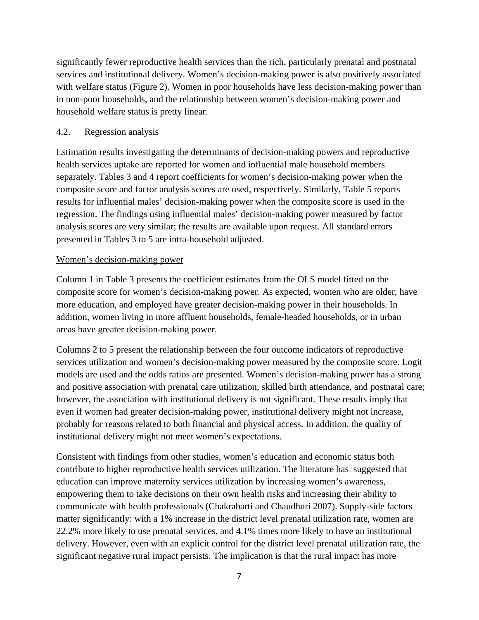significantly fewer reproductive health services than the rich, particularly prenatal and postnatal services and institutional delivery. Women's decision-making power is also positively associated with welfare status (Figure 2). Women in poor households have less decision-making power than in non-poor households, and the relationship between women's decision-making power and household welfare status is pretty linear.

## 4.2. Regression analysis

Estimation results investigating the determinants of decision-making powers and reproductive health services uptake are reported for women and influential male household members separately. Tables 3 and 4 report coefficients for women's decision-making power when the composite score and factor analysis scores are used, respectively. Similarly, Table 5 reports results for influential males' decision-making power when the composite score is used in the regression. The findings using influential males' decision-making power measured by factor analysis scores are very similar; the results are available upon request. All standard errors presented in Tables 3 to 5 are intra-household adjusted.

#### Women's decision-making power

Column 1 in Table 3 presents the coefficient estimates from the OLS model fitted on the composite score for women's decision-making power. As expected, women who are older, have more education, and employed have greater decision-making power in their households. In addition, women living in more affluent households, female-headed households, or in urban areas have greater decision-making power.

Columns 2 to 5 present the relationship between the four outcome indicators of reproductive services utilization and women's decision-making power measured by the composite score. Logit models are used and the odds ratios are presented. Women's decision-making power has a strong and positive association with prenatal care utilization, skilled birth attendance, and postnatal care; however, the association with institutional delivery is not significant. These results imply that even if women had greater decision-making power, institutional delivery might not increase, probably for reasons related to both financial and physical access. In addition, the quality of institutional delivery might not meet women's expectations.

Consistent with findings from other studies, women's education and economic status both contribute to higher reproductive health services utilization. The literature has suggested that education can improve maternity services utilization by increasing women's awareness, empowering them to take decisions on their own health risks and increasing their ability to communicate with health professionals (Chakrabarti and Chaudhuri 2007). Supply-side factors matter significantly: with a 1% increase in the district level prenatal utilization rate, women are 22.2% more likely to use prenatal services, and 4.1% times more likely to have an institutional delivery. However, even with an explicit control for the district level prenatal utilization rate, the significant negative rural impact persists. The implication is that the rural impact has more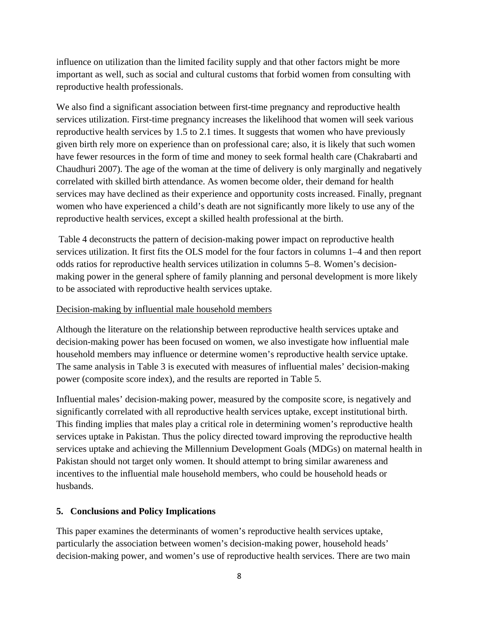influence on utilization than the limited facility supply and that other factors might be more important as well, such as social and cultural customs that forbid women from consulting with reproductive health professionals.

We also find a significant association between first-time pregnancy and reproductive health services utilization. First-time pregnancy increases the likelihood that women will seek various reproductive health services by 1.5 to 2.1 times. It suggests that women who have previously given birth rely more on experience than on professional care; also, it is likely that such women have fewer resources in the form of time and money to seek formal health care (Chakrabarti and Chaudhuri 2007). The age of the woman at the time of delivery is only marginally and negatively correlated with skilled birth attendance. As women become older, their demand for health services may have declined as their experience and opportunity costs increased. Finally, pregnant women who have experienced a child's death are not significantly more likely to use any of the reproductive health services, except a skilled health professional at the birth.

 Table 4 deconstructs the pattern of decision-making power impact on reproductive health services utilization. It first fits the OLS model for the four factors in columns 1–4 and then report odds ratios for reproductive health services utilization in columns 5–8. Women's decisionmaking power in the general sphere of family planning and personal development is more likely to be associated with reproductive health services uptake.

## Decision-making by influential male household members

Although the literature on the relationship between reproductive health services uptake and decision-making power has been focused on women, we also investigate how influential male household members may influence or determine women's reproductive health service uptake. The same analysis in Table 3 is executed with measures of influential males' decision-making power (composite score index), and the results are reported in Table 5.

Influential males' decision-making power, measured by the composite score, is negatively and significantly correlated with all reproductive health services uptake, except institutional birth. This finding implies that males play a critical role in determining women's reproductive health services uptake in Pakistan. Thus the policy directed toward improving the reproductive health services uptake and achieving the Millennium Development Goals (MDGs) on maternal health in Pakistan should not target only women. It should attempt to bring similar awareness and incentives to the influential male household members, who could be household heads or husbands.

## **5. Conclusions and Policy Implications**

This paper examines the determinants of women's reproductive health services uptake, particularly the association between women's decision-making power, household heads' decision-making power, and women's use of reproductive health services. There are two main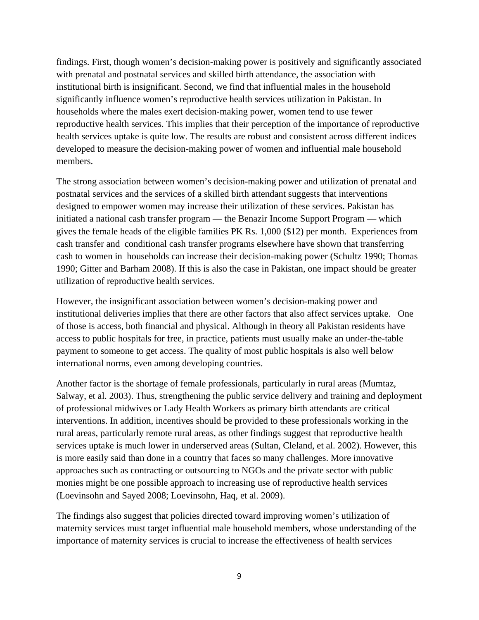findings. First, though women's decision-making power is positively and significantly associated with prenatal and postnatal services and skilled birth attendance, the association with institutional birth is insignificant. Second, we find that influential males in the household significantly influence women's reproductive health services utilization in Pakistan. In households where the males exert decision-making power, women tend to use fewer reproductive health services. This implies that their perception of the importance of reproductive health services uptake is quite low. The results are robust and consistent across different indices developed to measure the decision-making power of women and influential male household members.

The strong association between women's decision-making power and utilization of prenatal and postnatal services and the services of a skilled birth attendant suggests that interventions designed to empower women may increase their utilization of these services. Pakistan has initiated a national cash transfer program — the Benazir Income Support Program — which gives the female heads of the eligible families PK Rs. 1,000 (\$12) per month. Experiences from cash transfer and conditional cash transfer programs elsewhere have shown that transferring cash to women in households can increase their decision-making power (Schultz 1990; Thomas 1990; Gitter and Barham 2008). If this is also the case in Pakistan, one impact should be greater utilization of reproductive health services.

However, the insignificant association between women's decision-making power and institutional deliveries implies that there are other factors that also affect services uptake. One of those is access, both financial and physical. Although in theory all Pakistan residents have access to public hospitals for free, in practice, patients must usually make an under-the-table payment to someone to get access. The quality of most public hospitals is also well below international norms, even among developing countries.

Another factor is the shortage of female professionals, particularly in rural areas (Mumtaz, Salway, et al. 2003). Thus, strengthening the public service delivery and training and deployment of professional midwives or Lady Health Workers as primary birth attendants are critical interventions. In addition, incentives should be provided to these professionals working in the rural areas, particularly remote rural areas, as other findings suggest that reproductive health services uptake is much lower in underserved areas (Sultan, Cleland, et al. 2002). However, this is more easily said than done in a country that faces so many challenges. More innovative approaches such as contracting or outsourcing to NGOs and the private sector with public monies might be one possible approach to increasing use of reproductive health services (Loevinsohn and Sayed 2008; Loevinsohn, Haq, et al. 2009).

The findings also suggest that policies directed toward improving women's utilization of maternity services must target influential male household members, whose understanding of the importance of maternity services is crucial to increase the effectiveness of health services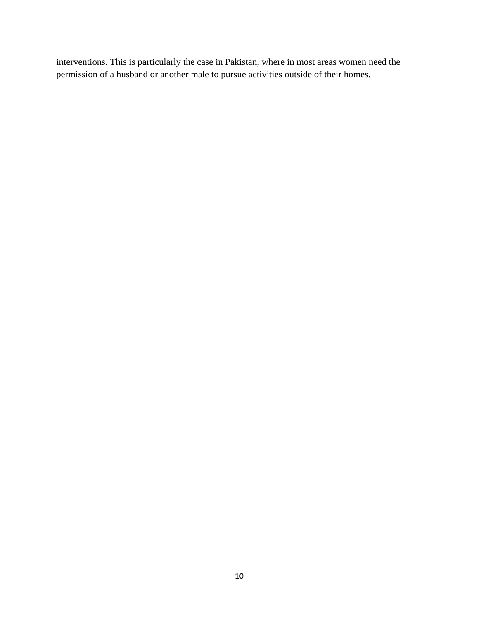interventions. This is particularly the case in Pakistan, where in most areas women need the permission of a husband or another male to pursue activities outside of their homes.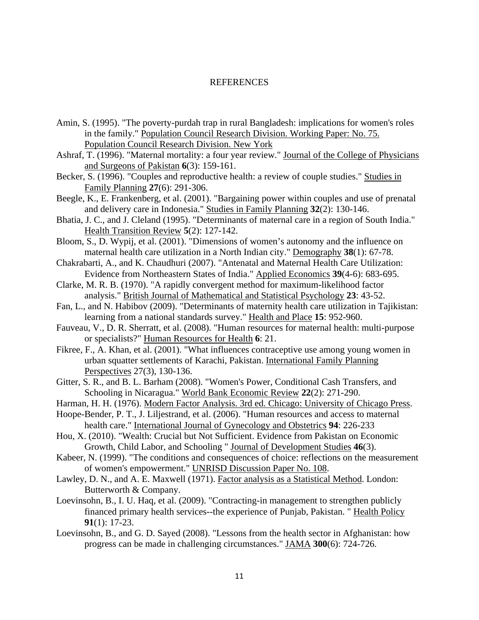#### REFERENCES

- Amin, S. (1995). "The poverty-purdah trap in rural Bangladesh: implications for women's roles in the family." Population Council Research Division. Working Paper: No. 75. Population Council Research Division. New York
- Ashraf, T. (1996). "Maternal mortality: a four year review." Journal of the College of Physicians and Surgeons of Pakistan **6**(3): 159-161.
- Becker, S. (1996). "Couples and reproductive health: a review of couple studies." Studies in Family Planning **27**(6): 291-306.
- Beegle, K., E. Frankenberg, et al. (2001). "Bargaining power within couples and use of prenatal and delivery care in Indonesia." Studies in Family Planning **32**(2): 130-146.
- Bhatia, J. C., and J. Cleland (1995). "Determinants of maternal care in a region of South India." Health Transition Review **5**(2): 127-142.
- Bloom, S., D. Wypij, et al. (2001). "Dimensions of women's autonomy and the influence on maternal health care utilization in a North Indian city." Demography **38**(1): 67-78.
- Chakrabarti, A., and K. Chaudhuri (2007). "Antenatal and Maternal Health Care Utilization: Evidence from Northeastern States of India." Applied Economics **39**(4-6): 683-695.
- Clarke, M. R. B. (1970). "A rapidly convergent method for maximum-likelihood factor analysis." British Journal of Mathematical and Statistical Psychology **23**: 43-52.
- Fan, L., and N. Habibov (2009). "Determinants of maternity health care utilization in Tajikistan: learning from a national standards survey." Health and Place **15**: 952-960.
- Fauveau, V., D. R. Sherratt, et al. (2008). "Human resources for maternal health: multi-purpose or specialists?" Human Resources for Health **6**: 21.
- Fikree, F., A. Khan, et al. (2001). "What influences contraceptive use among young women in urban squatter settlements of Karachi, Pakistan. International Family Planning Perspectives 27(3), 130-136.
- Gitter, S. R., and B. L. Barham (2008). "Women's Power, Conditional Cash Transfers, and Schooling in Nicaragua." World Bank Economic Review **22**(2): 271-290.
- Harman, H. H. (1976). Modern Factor Analysis. 3rd ed. Chicago: University of Chicago Press.
- Hoope-Bender, P. T., J. Liljestrand, et al. (2006). "Human resources and access to maternal health care." International Journal of Gynecology and Obstetrics **94**: 226-233
- Hou, X. (2010). "Wealth: Crucial but Not Sufficient. Evidence from Pakistan on Economic Growth, Child Labor, and Schooling " Journal of Development Studies **46**(3).
- Kabeer, N. (1999). "The conditions and consequences of choice: reflections on the measurement of women's empowerment." UNRISD Discussion Paper No. 108.
- Lawley, D. N., and A. E. Maxwell (1971). Factor analysis as a Statistical Method. London: Butterworth & Company.
- Loevinsohn, B., I. U. Haq, et al. (2009). "Contracting-in management to strengthen publicly financed primary health services--the experience of Punjab, Pakistan. " Health Policy **91**(1): 17-23.
- Loevinsohn, B., and G. D. Sayed (2008). "Lessons from the health sector in Afghanistan: how progress can be made in challenging circumstances." JAMA **300**(6): 724-726.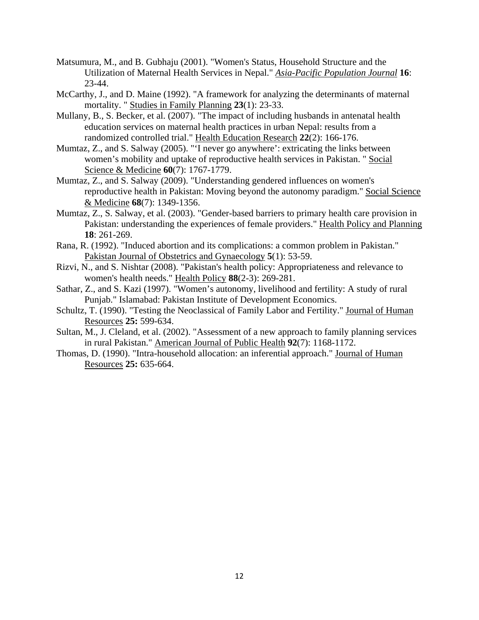- Matsumura, M., and B. Gubhaju (2001). "Women's Status, Household Structure and the Utilization of Maternal Health Services in Nepal." *Asia-Pacific Population Journal* **16**: 23-44.
- McCarthy, J., and D. Maine (1992). "A framework for analyzing the determinants of maternal mortality. " Studies in Family Planning **23**(1): 23-33.
- Mullany, B., S. Becker, et al. (2007). "The impact of including husbands in antenatal health education services on maternal health practices in urban Nepal: results from a randomized controlled trial." Health Education Research **22**(2): 166-176.
- Mumtaz, Z., and S. Salway (2005). "'I never go anywhere': extricating the links between women's mobility and uptake of reproductive health services in Pakistan. " Social Science & Medicine **60**(7): 1767-1779.
- Mumtaz, Z., and S. Salway (2009). "Understanding gendered influences on women's reproductive health in Pakistan: Moving beyond the autonomy paradigm." Social Science & Medicine **68**(7): 1349-1356.
- Mumtaz, Z., S. Salway, et al. (2003). "Gender-based barriers to primary health care provision in Pakistan: understanding the experiences of female providers." Health Policy and Planning **18**: 261-269.
- Rana, R. (1992). "Induced abortion and its complications: a common problem in Pakistan." Pakistan Journal of Obstetrics and Gynaecology **5**(1): 53-59.
- Rizvi, N., and S. Nishtar (2008). "Pakistan's health policy: Appropriateness and relevance to women's health needs." Health Policy **88**(2-3): 269-281.
- Sathar, Z., and S. Kazi (1997). "Women's autonomy, livelihood and fertility: A study of rural Punjab." Islamabad: Pakistan Institute of Development Economics.
- Schultz, T. (1990). "Testing the Neoclassical of Family Labor and Fertility." Journal of Human Resources **25:** 599-634.
- Sultan, M., J. Cleland, et al. (2002). "Assessment of a new approach to family planning services in rural Pakistan." American Journal of Public Health **92**(7): 1168-1172.
- Thomas, D. (1990). "Intra-household allocation: an inferential approach." Journal of Human Resources **25:** 635-664.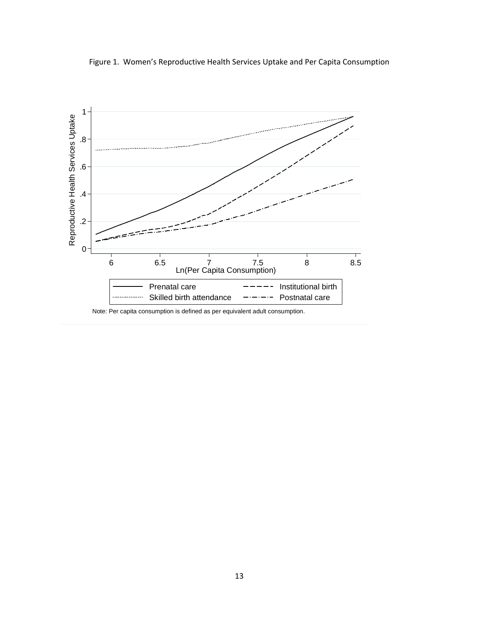Figure 1. Women's Reproductive Health Services Uptake and Per Capita Consumption

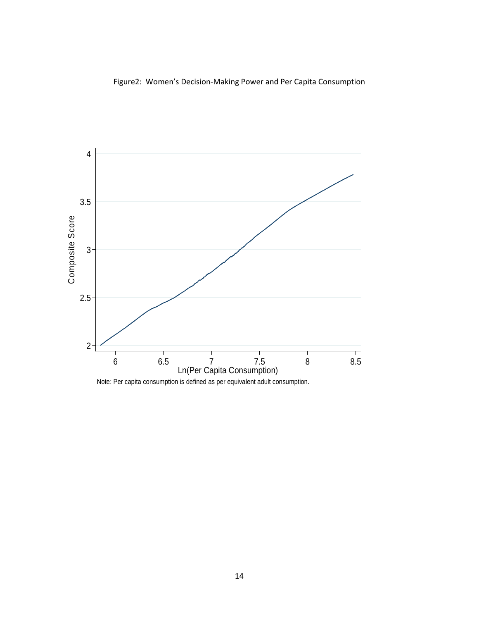Figure2: Women's Decision‐Making Power and Per Capita Consumption

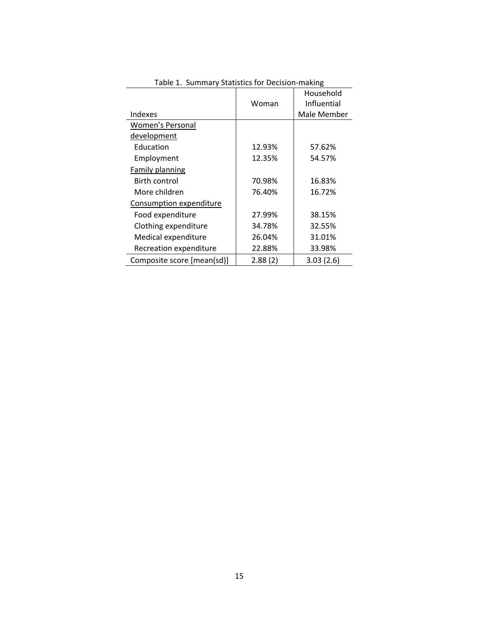| Table 1. Suffillery Statistics for Decision-making |         |             |  |  |  |  |  |
|----------------------------------------------------|---------|-------------|--|--|--|--|--|
|                                                    |         | Household   |  |  |  |  |  |
|                                                    | Woman   | Influential |  |  |  |  |  |
| Indexes                                            |         | Male Member |  |  |  |  |  |
| <b>Women's Personal</b>                            |         |             |  |  |  |  |  |
| development                                        |         |             |  |  |  |  |  |
| Education                                          | 12.93%  | 57.62%      |  |  |  |  |  |
| Employment                                         | 12.35%  | 54.57%      |  |  |  |  |  |
| <b>Family planning</b>                             |         |             |  |  |  |  |  |
| <b>Birth control</b>                               | 70.98%  | 16.83%      |  |  |  |  |  |
| More children                                      | 76.40%  | 16.72%      |  |  |  |  |  |
| Consumption expenditure                            |         |             |  |  |  |  |  |
| Food expenditure                                   | 27.99%  | 38.15%      |  |  |  |  |  |
| Clothing expenditure                               | 34.78%  | 32.55%      |  |  |  |  |  |
| Medical expenditure                                | 26.04%  | 31.01%      |  |  |  |  |  |
| Recreation expenditure                             | 22.88%  | 33.98%      |  |  |  |  |  |
| Composite score [mean(sd)]                         | 2.88(2) | 3.03(2.6)   |  |  |  |  |  |

Table 1. Summary Statistics for Decision‐making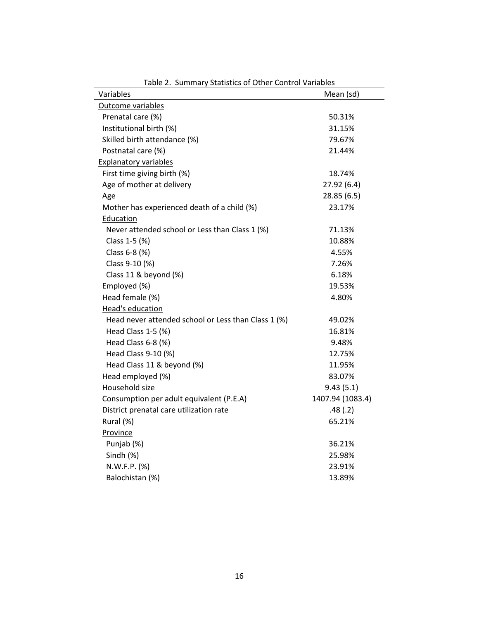| Variables                                           | Mean (sd)        |
|-----------------------------------------------------|------------------|
| Outcome variables                                   |                  |
| Prenatal care (%)                                   | 50.31%           |
| Institutional birth (%)                             | 31.15%           |
| Skilled birth attendance (%)                        | 79.67%           |
| Postnatal care (%)                                  | 21.44%           |
| <b>Explanatory variables</b>                        |                  |
| First time giving birth (%)                         | 18.74%           |
| Age of mother at delivery                           | 27.92 (6.4)      |
| Age                                                 | 28.85 (6.5)      |
| Mother has experienced death of a child (%)         | 23.17%           |
| Education                                           |                  |
| Never attended school or Less than Class 1 (%)      | 71.13%           |
| Class 1-5 (%)                                       | 10.88%           |
| Class 6-8 (%)                                       | 4.55%            |
| Class 9-10 (%)                                      | 7.26%            |
| Class 11 & beyond (%)                               | 6.18%            |
| Employed (%)                                        | 19.53%           |
| Head female (%)                                     | 4.80%            |
| Head's education                                    |                  |
| Head never attended school or Less than Class 1 (%) | 49.02%           |
| Head Class 1-5 (%)                                  | 16.81%           |
| Head Class 6-8 (%)                                  | 9.48%            |
| Head Class 9-10 (%)                                 | 12.75%           |
| Head Class 11 & beyond (%)                          | 11.95%           |
| Head employed (%)                                   | 83.07%           |
| Household size                                      | 9.43(5.1)        |
| Consumption per adult equivalent (P.E.A)            | 1407.94 (1083.4) |
| District prenatal care utilization rate             | .48(.2)          |
| Rural (%)                                           | 65.21%           |
| Province                                            |                  |
| Punjab (%)                                          | 36.21%           |
| Sindh (%)                                           | 25.98%           |
| N.W.F.P. (%)                                        | 23.91%           |
| Balochistan (%)                                     | 13.89%           |

Table 2. Summary Statistics of Other Control Variables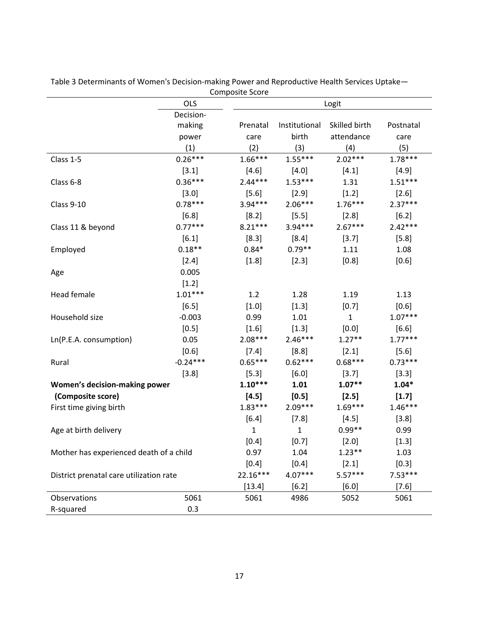|                                         | <b>OLS</b> | composite acor<br>Logit |               |              |           |  |  |
|-----------------------------------------|------------|-------------------------|---------------|--------------|-----------|--|--|
|                                         | Decision-  |                         |               |              |           |  |  |
|                                         | making     | Prenatal                | Institutional | Postnatal    |           |  |  |
|                                         | power      | care                    | birth         | attendance   | care      |  |  |
|                                         | (1)        | (2)                     | (3)           | (4)          | (5)       |  |  |
| Class 1-5                               | $0.26***$  | $1.66***$               | $1.55***$     | $2.02***$    | $1.78***$ |  |  |
|                                         | [3.1]      | [4.6]                   | $[4.0]$       | [4.1]        | [4.9]     |  |  |
| Class 6-8                               | $0.36***$  | $2.44***$               | $1.53***$     | 1.31         | $1.51***$ |  |  |
|                                         | $[3.0]$    | [5.6]                   | $[2.9]$       | [1.2]        | [2.6]     |  |  |
| Class 9-10                              | $0.78***$  | $3.94***$               | $2.06***$     | $1.76***$    | $2.37***$ |  |  |
|                                         | $[6.8]$    | [8.2]                   | $[5.5]$       | $[2.8]$      | [6.2]     |  |  |
| Class 11 & beyond                       | $0.77***$  | $8.21***$               | $3.94***$     | $2.67***$    | $2.42***$ |  |  |
|                                         | [6.1]      | [8.3]                   | [8.4]         | [3.7]        | [5.8]     |  |  |
| Employed                                | $0.18**$   | $0.84*$                 | $0.79**$      | 1.11         | 1.08      |  |  |
|                                         | $[2.4]$    | $[1.8]$                 | $[2.3]$       | $[0.8]$      | [0.6]     |  |  |
| Age                                     | 0.005      |                         |               |              |           |  |  |
|                                         | [1.2]      |                         |               |              |           |  |  |
| Head female                             | $1.01***$  | 1.2                     | 1.28          | 1.19         | 1.13      |  |  |
|                                         | [6.5]      | $[1.0]$                 | $[1.3]$       | [0.7]        | [0.6]     |  |  |
| Household size                          | $-0.003$   | 0.99                    | 1.01          | $\mathbf{1}$ | $1.07***$ |  |  |
|                                         | $[0.5]$    | $[1.6]$                 | $[1.3]$       | $[0.0]$      | [6.6]     |  |  |
| Ln(P.E.A. consumption)                  | 0.05       | $2.08***$               | $2.46***$     | $1.27**$     | $1.77***$ |  |  |
|                                         | [0.6]      | $[7.4]$                 | [8.8]         | $[2.1]$      | $[5.6]$   |  |  |
| Rural                                   | $-0.24***$ | $0.65***$               | $0.62***$     | $0.68***$    | $0.73***$ |  |  |
| [3.8]                                   |            | [5.3]                   | [6.0]         | [3.7]        | [3.3]     |  |  |
| Women's decision-making power           |            | $1.10***$               | 1.01          | $1.07**$     | $1.04*$   |  |  |
| (Composite score)                       |            | [4.5]                   | $[0.5]$       | [2.5]        | [1.7]     |  |  |
| First time giving birth                 |            | $1.83***$               | $2.09***$     | $1.69***$    | $1.46***$ |  |  |
|                                         |            | [6.4]                   | $[7.8]$       | [4.5]        | [3.8]     |  |  |
| Age at birth delivery                   |            | 1                       | 1             | $0.99**$     | 0.99      |  |  |
|                                         |            | $[0.4]$                 | $[0.7]$       | $[2.0]$      | $[1.3]$   |  |  |
| Mother has experienced death of a child | 0.97       | 1.04                    | $1.23**$      | 1.03         |           |  |  |
|                                         | $[0.4]$    | [0.4]                   | $[2.1]$       | $[0.3]$      |           |  |  |
| District prenatal care utilization rate | 22.16***   | 4.07***                 | $5.57***$     | $7.53***$    |           |  |  |
|                                         |            | [13.4]                  | [6.2]         | $[6.0]$      | [7.6]     |  |  |
| Observations                            | 5061       | 5061                    | 4986          | 5052         | 5061      |  |  |
| R-squared                               | 0.3        |                         |               |              |           |  |  |

Table 3 Determinants of Women's Decision‐making Power and Reproductive Health Services Uptake— Composite Score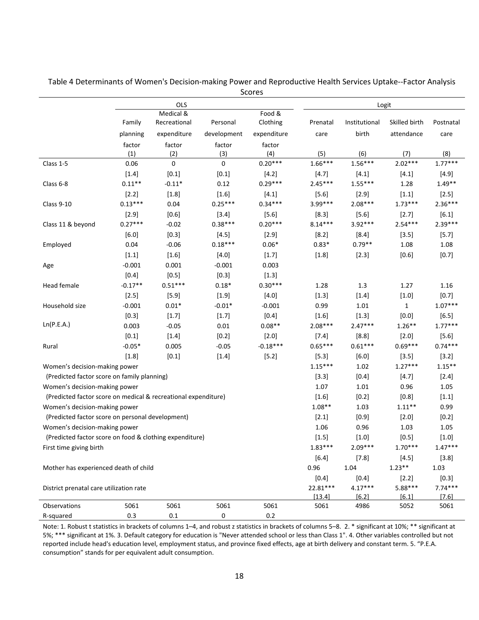|                                                                | <b>OLS</b> |              |             |             | Logit     |               |               |           |  |
|----------------------------------------------------------------|------------|--------------|-------------|-------------|-----------|---------------|---------------|-----------|--|
|                                                                |            | Medical &    |             | Food &      |           |               |               |           |  |
|                                                                | Family     | Recreational | Personal    | Clothing    | Prenatal  | Institutional | Skilled birth | Postnatal |  |
|                                                                | planning   | expenditure  | development | expenditure | care      | birth         | attendance    | care      |  |
|                                                                | factor     | factor       | factor      | factor      |           |               |               |           |  |
|                                                                | (1)        | (2)          | (3)         | (4)         | (5)       | (6)           | (7)           | (8)       |  |
| Class 1-5                                                      | 0.06       | $\pmb{0}$    | 0           | $0.20***$   | $1.66***$ | $1.56***$     | $2.02***$     | $1.77***$ |  |
|                                                                | $[1.4]$    | $[0.1]$      | $[0.1]$     | [4.2]       | [4.7]     | $[4.1]$       | $[4.1]$       | [4.9]     |  |
| Class 6-8                                                      | $0.11**$   | $-0.11*$     | 0.12        | $0.29***$   | $2.45***$ | $1.55***$     | 1.28          | $1.49**$  |  |
|                                                                | $[2.2]$    | $[1.8]$      | $[1.6]$     | $[4.1]$     | $[5.6]$   | $[2.9]$       | $[1.1]$       | [2.5]     |  |
| <b>Class 9-10</b>                                              | $0.13***$  | 0.04         | $0.25***$   | $0.34***$   | 3.99***   | $2.08***$     | $1.73***$     | $2.36***$ |  |
|                                                                | $[2.9]$    | [0.6]        | $[3.4]$     | $[5.6]$     | [8.3]     | $[5.6]$       | $[2.7]$       | $[6.1]$   |  |
| Class 11 & beyond                                              | $0.27***$  | $-0.02$      | $0.38***$   | $0.20***$   | $8.14***$ | 3.92***       | $2.54***$     | $2.39***$ |  |
|                                                                | $[6.0]$    | $[0.3]$      | $[4.5]$     | $[2.9]$     | $[8.2]$   | $[8.4]$       | $[3.5]$       | $[5.7]$   |  |
| Employed                                                       | 0.04       | $-0.06$      | $0.18***$   | $0.06*$     | $0.83*$   | $0.79**$      | 1.08          | 1.08      |  |
|                                                                | $[1.1]$    | $[1.6]$      | $[4.0]$     | [1.7]       | $[1.8]$   | [2.3]         | $[0.6]$       | [0.7]     |  |
| Age                                                            | $-0.001$   | 0.001        | $-0.001$    | 0.003       |           |               |               |           |  |
|                                                                | $[0.4]$    | $[0.5]$      | $[0.3]$     | $[1.3]$     |           |               |               |           |  |
| Head female                                                    | $-0.17**$  | $0.51***$    | $0.18*$     | $0.30***$   | 1.28      | 1.3           | 1.27          | 1.16      |  |
|                                                                | $[2.5]$    | $[5.9]$      | $[1.9]$     | $[4.0]$     | $[1.3]$   | $[1.4]$       | $[1.0]$       | $[0.7]$   |  |
| Household size                                                 | $-0.001$   | $0.01*$      | $-0.01*$    | $-0.001$    | 0.99      | $1.01\,$      | $\mathbf{1}$  | $1.07***$ |  |
|                                                                | $[0.3]$    | $[1.7]$      | $[1.7]$     | $[0.4]$     | $[1.6]$   | $[1.3]$       | $[0.0]$       | $[6.5]$   |  |
| Ln(P.E.A.)                                                     | 0.003      | $-0.05$      | 0.01        | $0.08**$    | $2.08***$ | $2.47***$     | $1.26**$      | $1.77***$ |  |
|                                                                | $[0.1]$    | $[1.4]$      | $[0.2]$     | $[2.0]$     | $[7.4]$   | [8.8]         | $[2.0]$       | $[5.6]$   |  |
| Rural                                                          | $-0.05*$   | 0.005        | $-0.05$     | $-0.18***$  | $0.65***$ | $0.61***$     | $0.69***$     | $0.74***$ |  |
|                                                                | $[1.8]$    | $[0.1]$      | $[1.4]$     | [5.2]       | $[5.3]$   | $[6.0]$       | $[3.5]$       | [3.2]     |  |
| Women's decision-making power                                  |            |              |             |             | $1.15***$ | 1.02          | $1.27***$     | $1.15***$ |  |
| (Predicted factor score on family planning)                    |            |              |             |             | [3.3]     | $[0.4]$       | [4.7]         | $[2.4]$   |  |
| Women's decision-making power                                  |            |              |             |             | 1.07      | 1.01          | 0.96          | 1.05      |  |
| (Predicted factor score on medical & recreational expenditure) |            |              |             |             | $[1.6]$   | $[0.2]$       | $[0.8]$       | $[1.1]$   |  |
| Women's decision-making power                                  |            |              |             |             | $1.08**$  | 1.03          | $1.11**$      | 0.99      |  |
| (Predicted factor score on personal development)               |            |              |             |             | $[2.1]$   | $[0.9]$       | $[2.0]$       | $[0.2]$   |  |
| Women's decision-making power                                  |            |              |             |             | 1.06      | 0.96          | 1.03          | 1.05      |  |
| (Predicted factor score on food & clothing expenditure)        |            |              |             |             | $[1.5]$   | $[1.0]$       | $[0.5]$       | $[1.0]$   |  |
| First time giving birth                                        |            |              |             |             | $1.83***$ | $2.09***$     | $1.70***$     | $1.47***$ |  |
|                                                                |            |              |             |             | $[6.4]$   | $[7.8]$       | $[4.5]$       | [3.8]     |  |
| Mother has experienced death of child                          |            |              |             | 0.96        | 1.04      | $1.23**$      | 1.03          |           |  |
|                                                                |            |              |             |             | $[0.4]$   | $[0.4]$       | $[2.2]$       | $[0.3]$   |  |
| District prenatal care utilization rate                        |            |              |             | 22.81***    | $4.17***$ | $5.88***$     | $7.74***$     |           |  |
|                                                                |            |              |             |             | [13.4]    | [6.2]         | [6.1]         | $[7.6]$   |  |
| Observations                                                   | 5061       | 5061         | 5061        | 5061        | 5061      | 4986          | 5052          | 5061      |  |
| R-squared                                                      | 0.3        | $0.1\,$      | 0           | $0.2\,$     |           |               |               |           |  |

Table 4 Determinants of Women's Decision‐making Power and Reproductive Health Services Uptake‐‐Factor Analysis Scores

Note: 1. Robust t statistics in brackets of columns 1–4, and robust z statistics in brackets of columns 5–8. 2. \* significant at 10%; \*\* significant at 5%; \*\*\* significant at 1%. 3. Default category for education is "Never attended school or less than Class 1". 4. Other variables controlled but not reported include head's education level, employment status, and province fixed effects, age at birth delivery and constant term. 5. "P.E.A. consumption" stands for per equivalent adult consumption.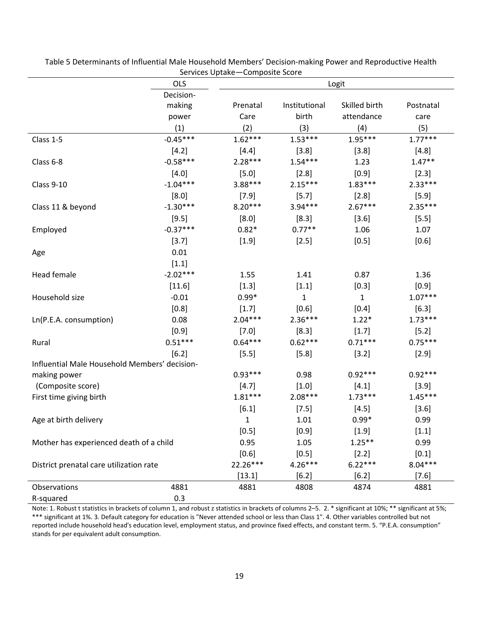|                                               | <b>OLS</b> | Logit     |               |               |           |  |
|-----------------------------------------------|------------|-----------|---------------|---------------|-----------|--|
|                                               | Decision-  |           |               |               |           |  |
|                                               | making     | Prenatal  | Institutional | Skilled birth | Postnatal |  |
|                                               | power      | Care      | birth         | attendance    | care      |  |
|                                               | (1)        | (2)       | (3)           | (4)           | (5)       |  |
| Class 1-5                                     | $-0.45***$ | $1.62***$ | $1.53***$     | $1.95***$     | $1.77***$ |  |
|                                               | [4.2]      | $[4.4]$   | [3.8]         | [3.8]         | [4.8]     |  |
| Class 6-8                                     | $-0.58***$ | $2.28***$ | $1.54***$     | 1.23          | $1.47**$  |  |
|                                               | [4.0]      | $[5.0]$   | [2.8]         | [0.9]         | [2.3]     |  |
| Class 9-10                                    | $-1.04***$ | 3.88***   | $2.15***$     | $1.83***$     | $2.33***$ |  |
|                                               | [8.0]      | [7.9]     | [5.7]         | $[2.8]$       | $[5.9]$   |  |
| Class 11 & beyond                             | $-1.30***$ | $8.20***$ | $3.94***$     | $2.67***$     | $2.35***$ |  |
|                                               | [9.5]      | [8.0]     | [8.3]         | $[3.6]$       | [5.5]     |  |
| Employed                                      | $-0.37***$ | $0.82*$   | $0.77**$      | 1.06          | 1.07      |  |
|                                               | [3.7]      | $[1.9]$   | [2.5]         | $[0.5]$       | [0.6]     |  |
| Age                                           | 0.01       |           |               |               |           |  |
|                                               | [1.1]      |           |               |               |           |  |
| <b>Head female</b>                            | $-2.02***$ | 1.55      | 1.41          | 0.87          | 1.36      |  |
|                                               | [11.6]     | $[1.3]$   | $[1.1]$       | $[0.3]$       | [0.9]     |  |
| Household size                                | $-0.01$    | $0.99*$   | 1             | $\mathbf{1}$  | $1.07***$ |  |
|                                               | $[0.8]$    | [1.7]     | [0.6]         | $[0.4]$       | [6.3]     |  |
| Ln(P.E.A. consumption)                        | 0.08       | $2.04***$ | $2.36***$     | $1.22*$       | $1.73***$ |  |
|                                               | $[0.9]$    | $[7.0]$   | [8.3]         | $[1.7]$       | [5.2]     |  |
| Rural                                         | $0.51***$  | $0.64***$ | $0.62***$     | $0.71***$     | $0.75***$ |  |
|                                               | [6.2]      | $[5.5]$   | $[5.8]$       | [3.2]         | $[2.9]$   |  |
| Influential Male Household Members' decision- |            |           |               |               |           |  |
| making power                                  |            | $0.93***$ | 0.98          | $0.92***$     | $0.92***$ |  |
| (Composite score)                             |            | [4.7]     | $[1.0]$       | $[4.1]$       | [3.9]     |  |
| First time giving birth                       |            | $1.81***$ | $2.08***$     | $1.73***$     | $1.45***$ |  |
|                                               |            | $[6.1]$   | [7.5]         | [4.5]         | [3.6]     |  |
| Age at birth delivery                         |            | 1         | 1.01          | $0.99*$       | 0.99      |  |
|                                               |            | $[0.5]$   | $[0.9]$       | $[1.9]$       | $[1.1]$   |  |
| Mother has experienced death of a child       |            | 0.95      | 1.05          | $1.25***$     | 0.99      |  |
|                                               |            | [0.6]     | [0.5]         | [2.2]         | [0.1]     |  |
| District prenatal care utilization rate       |            | 22.26***  | $4.26***$     | $6.22***$     | $8.04***$ |  |
|                                               |            | [13.1]    | [6.2]         | $[6.2]$       | $[7.6]$   |  |
| Observations                                  | 4881       | 4881      | 4808          | 4874          | 4881      |  |
| R-squared                                     | 0.3        |           |               |               |           |  |

Table 5 Determinants of Influential Male Household Members' Decision‐making Power and Reproductive Health Services Uptake—Composite Score

Note: 1. Robust t statistics in brackets of column 1, and robust z statistics in brackets of columns 2-5. 2. \* significant at 10%; \*\* significant at 5%; \*\*\* significant at 1%. 3. Default category for education is "Never attended school or less than Class 1". 4. Other variables controlled but not reported include household head's education level, employment status, and province fixed effects, and constant term. 5. "P.E.A. consumption" stands for per equivalent adult consumption.